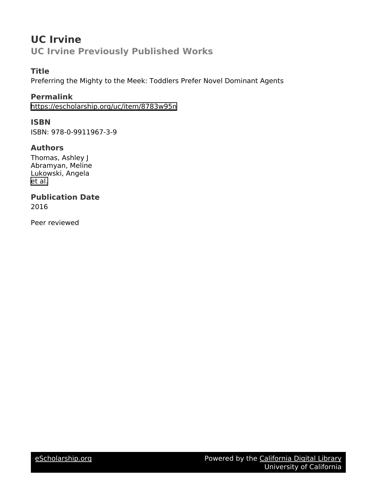# **UC Irvine UC Irvine Previously Published Works**

# **Title**

Preferring the Mighty to the Meek: Toddlers Prefer Novel Dominant Agents

# **Permalink**

<https://escholarship.org/uc/item/8783w95n>

# **ISBN**

ISBN: 978-0-9911967-3-9

# **Authors**

Thomas, Ashley J Abramyan, Meline Lukowski, Angela [et al.](https://escholarship.org/uc/item/8783w95n#author)

# **Publication Date**

2016

Peer reviewed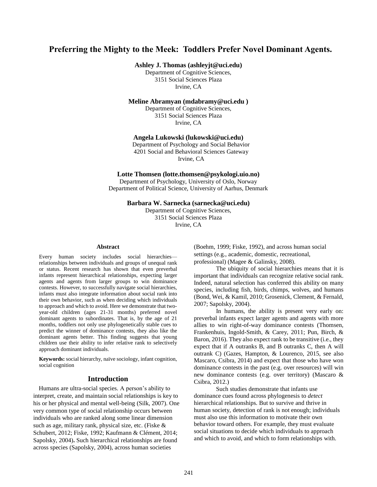# **Preferring the Mighty to the Meek: Toddlers Prefer Novel Dominant Agents.**

**Ashley J. Thomas (ashleyjt@uci.edu)**

Department of Cognitive Sciences, 3151 Social Sciences Plaza Irvine, CA

**Meline Abramyan (mdabramy@uci.edu )**

Department of Cognitive Sciences, 3151 Social Sciences Plaza Irvine, CA

**Angela Lukowski (lukowski@uci.edu)**

Department of Psychology and Social Behavior 4201 Social and Behavioral Sciences Gateway Irvine, CA

**Lotte Thomsen (lotte.thomsen@psykologi.uio.no)**

Department of Psychology, University of Oslo, Norway Department of Political Science, University of Aarhus, Denmark

**Barbara W. Sarnecka (sarnecka@uci.edu)**

Department of Cognitive Sciences, 3151 Social Sciences Plaza Irvine, CA

#### **Abstract**

Every human society includes social hierarchies relationships between individuals and groups of unequal rank or status. Recent research has shown that even preverbal infants represent hierarchical relationships, expecting larger agents and agents from larger groups to win dominance contests. However, to successfully navigate social hierarchies, infants must also integrate information about social rank into their own behavior, such as when deciding which individuals to approach and which to avoid. Here we demonstrate that twoyear-old children (ages 21-31 months) preferred novel dominant agents to subordinates. That is, by the age of 21 months, toddlers not only use phylogenetically stable cues to predict the winner of dominance contests, they also like the dominant agents better. This finding suggests that young children use their ability to infer relative rank to selectively approach dominant individuals.

**Keywords:** social hierarchy, naïve sociology, infant cognition, social cognition

## **Introduction**

Humans are ultra-social species. A person's ability to interpret, create, and maintain social relationships is key to his or her physical and mental well-being (Silk, 2007). One very common type of social relationship occurs between individuals who are ranked along some linear dimension such as age, military rank, physical size, etc. (Fiske & Schubert, 2012; Fiske, 1992; Kaufmann & Clément, 2014; Sapolsky, 2004)**.** Such hierarchical relationships are found across species (Sapolsky, 2004), across human societies

(Boehm, 1999; Fiske, 1992), and across human social settings (e.g., academic, domestic, recreational, professional) (Magee & Galinsky, 2008).

The ubiquity of social hierarchies means that it is important that individuals can recognize relative social rank. Indeed, natural selection has conferred this ability on many species, including fish, birds, chimps, wolves, and humans (Bond, Wei, & Kamil, 2010; Grosenick, Clement, & Fernald, 2007; Sapolsky, 2004).

In humans, the ability is present very early on: preverbal infants expect larger agents and agents with more allies to win right-of-way dominance contests (Thomsen, Frankenhuis, Ingold-Smith, & Carey, 2011; Pun, Birch, & Baron, 2016). They also expect rank to be transitive (i.e., they expect that if A outranks B, and B outranks C, then A will outrank C) (Gazes, Hampton, & Lourenco, 2015, see also Mascaro, Csibra, 2014) and expect that those who have won dominance contests in the past (e.g. over resources) will win new dominance contests (e.g. over territory) (Mascaro & Csibra, 2012.)

Such studies demonstrate that infants use dominance cues found across phylogenesis to *detect* hierarchical relationships. But to survive and thrive in human society, detection of rank is not enough; individuals must also use this information to motivate their own behavior toward others. For example, they must evaluate social situations to decide which individuals to approach and which to avoid, and which to form relationships with.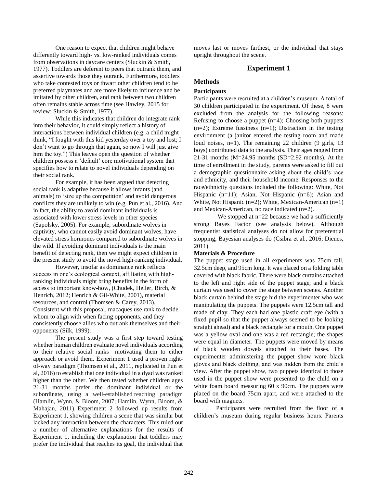One reason to expect that children might behave differently toward high- vs. low-ranked individuals comes from observations in daycare centers (Sluckin & Smith, 1977). Toddlers are deferent to peers that outrank them, and assertive towards those they outrank. Furthermore, toddlers who take contested toys or thwart other children tend to be preferred playmates and are more likely to influence and be imitated by other children, and rank between two children often remains stable across time (see Hawley, 2015 for review; Sluckin & Smith, 1977).

While this indicates that children do integrate rank into their behavior, it could simply reflect a history of interactions between individual children (e.g. a child might think, "I fought with this kid yesterday over a toy and lost; I don't want to go through that again, so now I will just give him the toy.") This leaves open the question of whether children possess a 'default' core motivational system that specifies how to relate to novel individuals depending on their social rank.

For example*,* it has been argued that detecting social rank is adaptive because it allows infants (and animals) to 'size up the competition' and avoid dangerous conflicts they are unlikely to win (e.g. Pun et al., 2016). And in fact, the ability to avoid dominant individuals is associated with lower stress levels in other species (Sapolsky, 2005). For example, subordinate wolves in captivity, who cannot easily avoid dominant wolves, have elevated stress hormones compared to subordinate wolves in the wild. If avoiding dominant individuals is the main benefit of detecting rank, then we might expect children in the present study to avoid the novel high-ranking individual.

However, insofar as dominance rank reflects success in one's ecological context, affiliating with highranking individuals might bring benefits in the form of access to important know-how, (Chudek, Heller, Birch, & Henrich, 2012; Henrich & Gil-White, 2001), material resources, and control (Thomsen & Carey, 2013). Consistent with this proposal, macaques use rank to decide whom to align with when facing opponents, and they consistently choose allies who outrank themselves and their opponents (Silk, 1999).

The present study was a first step toward testing whether human children evaluate novel individuals according to their relative social ranks—motivating them to either approach or avoid them. Experiment 1 used a proven rightof-way paradigm (Thomsen et al., 2011, replicated in Pun et al, 2016) to establish that one individual in a dyad was ranked higher than the other. We then tested whether children ages 21-31 months prefer the dominant individual or the subordinate, using a well-established reaching paradigm (Hamlin, Wynn, & Bloom, 2007; Hamlin, Wynn, Bloom, & Mahajan, 2011). Experiment 2 followed up results from Experiment 1, showing children a scene that was similar but lacked any interaction between the characters. This ruled out a number of alternative explanations for the results of Experiment 1, including the explanation that toddlers may prefer the individual that reaches its goal, the individual that moves last or moves farthest, or the individual that stays upright throughout the scene.

## **Experiment 1**

# **Methods**

### **Participants**

Participants were recruited at a children's museum. A total of 30 children participated in the experiment. Of these, 8 were excluded from the analysis for the following reasons: Refusing to choose a puppet  $(n=4)$ ; Choosing both puppets  $(n=2)$ ; Extreme fussiness  $(n=1)$ ; Distraction in the testing environment (a janitor entered the testing room and made loud noises, n=1). The remaining 22 children (9 girls, 13 boys) contributed data to the analysis. Their ages ranged from 21-31 months (M=24.95 months (SD=2.92 months). At the time of enrollment in the study, parents were asked to fill out a demographic questionnaire asking about the child's race and ethnicity, and their household income. Responses to the race/ethnicity questions included the following: White, Not Hispanic (n=11); Asian, Not Hispanic (n=6); Asian and White, Not Hispanic (n=2); White, Mexican-American (n=1) and Mexican-American, no race indicated (n=2).

We stopped at  $n=22$  because we had a sufficiently strong Bayes Factor (see analysis below). Although frequentist statistical analyses do not allow for preferential stopping, Bayesian analyses do (Csibra et al., 2016; Dienes, 2011).

#### **Materials & Procedure**

The puppet stage used in all experiments was 75cm tall, 32.5cm deep, and 95cm long. It was placed on a folding table covered with black fabric. There were black curtains attached to the left and right side of the puppet stage, and a black curtain was used to cover the stage between scenes. Another black curtain behind the stage hid the experimenter who was manipulating the puppets. The puppets were 12.5cm tall and made of clay. They each had one plastic craft eye (with a fixed pupil so that the puppet always seemed to be looking straight ahead) and a black rectangle for a mouth. One puppet was a yellow oval and one was a red rectangle; the shapes were equal in diameter. The puppets were moved by means of black wooden dowels attached to their bases. The experimenter administering the puppet show wore black gloves and black clothing, and was hidden from the child's view. After the puppet show, two puppets identical to those used in the puppet show were presented to the child on a white foam board measuring 60 x 90cm. The puppets were placed on the board 75cm apart, and were attached to the board with magnets.

Participants were recruited from the floor of a children's museum during regular business hours. Parents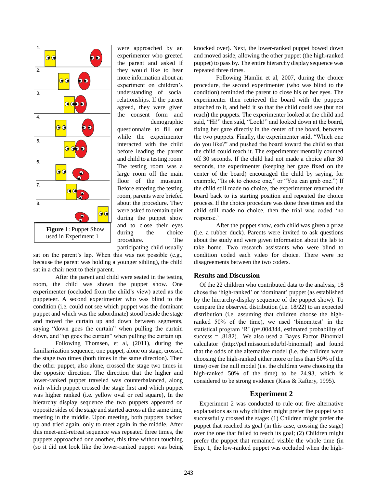

were approached by an experimenter who greeted the parent and asked if they would like to hear more information about an experiment on children's understanding of social relationships. If the parent agreed, they were given the consent form and demographic

questionnaire to fill out while the experimenter interacted with the child before leading the parent and child to a testing room. The testing room was a large room off the main floor of the museum. Before entering the testing room, parents were briefed about the procedure. They were asked to remain quiet during the puppet show and to close their eyes during the choice procedure. The participating child usually

sat on the parent's lap. When this was not possible (e.g., because the parent was holding a younger sibling), the child sat in a chair next to their parent.

After the parent and child were seated in the testing room, the child was shown the puppet show. One experimenter (occluded from the child's view) acted as the puppeteer. A second experimenter who was blind to the condition (i.e. could not see which puppet was the dominant puppet and which was the subordinate) stood beside the stage and moved the curtain up and down between segments, saying "down goes the curtain" when pulling the curtain down, and "up goes the curtain" when pulling the curtain up.

Following Thomsen, et al, (2011), during the familiarization sequence, one puppet, alone on stage, crossed the stage two times (both times in the same direction). Then the other puppet, also alone, crossed the stage two times in the opposite direction. The direction that the higher and lower-ranked puppet traveled was counterbalanced, along with which puppet crossed the stage first and which puppet was higher ranked (i.e. yellow oval or red square), In the hierarchy display sequence the two puppets appeared on opposite sides of the stage and started across at the same time, meeting in the middle. Upon meeting, both puppets backed up and tried again, only to meet again in the middle. After this meet-and-retreat sequence was repeated three times, the puppets approached one another, this time without touching (so it did not look like the lower-ranked puppet was being knocked over). Next, the lower-ranked puppet bowed down and moved aside, allowing the other puppet (the high-ranked puppet) to pass by. The entire hierarchy display sequence was repeated three times.

Following Hamlin et al, 2007, during the choice procedure, the second experimenter (who was blind to the condition) reminded the parent to close his or her eyes. The experimenter then retrieved the board with the puppets attached to it, and held it so that the child could see (but not reach) the puppets. The experimenter looked at the child and said, "Hi!" then said, "Look!" and looked down at the board, fixing her gaze directly in the center of the board, between the two puppets. Finally, the experimenter said, "Which one do you like?" and pushed the board toward the child so that the child could reach it. The experimenter mentally counted off 30 seconds. If the child had not made a choice after 30 seconds, the experimenter (keeping her gaze fixed on the center of the board) encouraged the child by saying, for example, "Its ok to choose one," or "You can grab one.") If the child still made no choice, the experimenter returned the board back to its starting position and repeated the choice process. If the choice procedure was done three times and the child still made no choice, then the trial was coded 'no response.'

After the puppet show, each child was given a prize (i.e. a rubber duck). Parents were invited to ask questions about the study and were given information about the lab to take home. Two research assistants who were blind to condition coded each video for choice. There were no disagreements between the two coders.

#### **Results and Discussion**

Of the 22 children who contributed data to the analysis, 18 chose the 'high-ranked' or 'dominant' puppet (as established by the hierarchy-display sequence of the puppet show). To compare the observed distribution (i.e. 18/22) to an expected distribution (i.e. assuming that children choose the highranked 50% of the time), we used 'binom.test' in the statistical program 'R' (*p*=.004344, estimated probability of success  $= .8182$ ). We also used a Bayes Factor Binomial calculator (http://pcl.missouri.edu/bf-binomial) and found that the odds of the alternative model (i.e. the children were choosing the high-ranked either more or less than 50% of the time) over the null model (i.e. the children were choosing the high-ranked 50% of the time) to be 24.93, which is considered to be strong evidence (Kass & Raftery, 1995).

## **Experiment 2**

Experiment 2 was conducted to rule out five alternative explanations as to why children might prefer the puppet who successfully crossed the stage: (1) Children might prefer the puppet that reached its goal (in this case, crossing the stage) over the one that failed to reach its goal; (2) Children might prefer the puppet that remained visible the whole time (in Exp. 1, the low-ranked puppet was occluded when the high-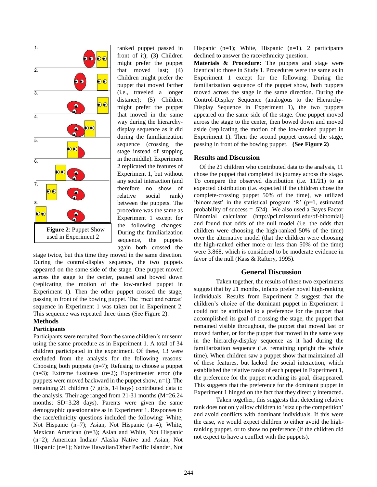

ranked puppet passed in front of it); (3) Children might prefer the puppet that moved last; (4) Children might prefer the puppet that moved farther (i.e., traveled a longer distance); (5) Children might prefer the puppet that moved in the same way during the hierarchydisplay sequence as it did during the familiarization sequence (crossing the stage instead of stopping in the middle). Experiment 2 replicated the features of Experiment 1, but without any social interaction (and therefore no show of relative social rank) between the puppets. The procedure was the same as Experiment 1 except for the following changes: During the familiarization sequence, the puppets again both crossed the

stage twice, but this time they moved in the same direction. During the control-display sequence, the two puppets appeared on the same side of the stage. One puppet moved across the stage to the center, paused and bowed down (replicating the motion of the low-ranked puppet in Experiment 1). Then the other puppet crossed the stage, passing in front of the bowing puppet. The 'meet and retreat' sequence in Experiment 1 was taken out in Experiment 2. This sequence was repeated three times (See Figure 2).

### **Methods**

### **Participants**

Participants were recruited from the same children's museum using the same procedure as in Experiment 1. A total of 34 children participated in the experiment. Of these, 13 were excluded from the analysis for the following reasons: Choosing both puppets  $(n=7)$ ; Refusing to choose a puppet  $(n=3)$ ; Extreme fussiness  $(n=2)$ ; Experimenter error (the puppets were moved backward in the puppet show, n=1). The remaining 21 children (7 girls, 14 boys) contributed data to the analysis. Their age ranged from 21-31 months (M=26.24 months; SD=3.28 days). Parents were given the same demographic questionnaire as in Experiment 1. Responses to the race/ethnicity questions included the following: White, Not Hispanic (n=7); Asian, Not Hispanic (n=4); White, Mexican American (n=3); Asian and White, Not Hispanic (n=2); American Indian/ Alaska Native and Asian, Not Hispanic (n=1); Native Hawaiian/Other Pacific Islander, Not Hispanic  $(n=1)$ ; White, Hispanic  $(n=1)$ . 2 participants declined to answer the race/ethnicity question.

**Materials & Procedure:** The puppets and stage were identical to those in Study 1. Procedures were the same as in Experiment 1 except for the following: During the familiarization sequence of the puppet show, both puppets moved across the stage in the same direction. During the Control-Display Sequence (analogous to the Hierarchy-Display Sequence in Experiment 1), the two puppets appeared on the same side of the stage. One puppet moved across the stage to the center, then bowed down and moved aside (replicating the motion of the low-ranked puppet in Experiment 1). Then the second puppet crossed the stage, passing in front of the bowing puppet. **(See Figure 2)**

#### **Results and Discussion**

Of the 21 children who contributed data to the analysis, 11 chose the puppet that completed its journey across the stage. To compare the observed distribution (i.e. 11/21) to an expected distribution (i.e. expected if the children chose the complete-crossing puppet 50% of the time), we utilized 'binom.test' in the statistical program 'R' (p=1, estimated probability of success = .524). We also used a Bayes Factor Binomial calculator (http://pcl.missouri.edu/bf-binomial) and found that odds of the null model (i.e. the odds that children were choosing the high-ranked 50% of the time) over the alternative model (that the children were choosing the high-ranked either more or less than 50% of the time) were 3.868, which is considered to be moderate evidence in favor of the null (Kass & Raftery, 1995).

## **General Discussion**

Taken together, the results of these two experiments suggest that by 21 months, infants prefer novel high-ranking individuals. Results from Experiment 2 suggest that the children's choice of the dominant puppet in Experiment 1 could not be attributed to a preference for the puppet that accomplished its goal of crossing the stage, the puppet that remained visible throughout, the puppet that moved last or moved farther, or for the puppet that moved in the same way in the hierarchy-display sequence as it had during the familiarization sequence (i.e. remaining upright the whole time). When children saw a puppet show that maintained all of these features, but lacked the social interaction, which established the relative ranks of each puppet in Experiment 1, the preference for the puppet reaching its goal, disappeared. This suggests that the preference for the dominant puppet in Experiment 1 hinged on the fact that they directly interacted.

Taken together, this suggests that detecting relative rank does not only allow children to 'size up the competition' and avoid conflicts with dominant individuals. If this were the case, we would expect children to either avoid the highranking puppet, or to show no preference (if the children did not expect to have a conflict with the puppets).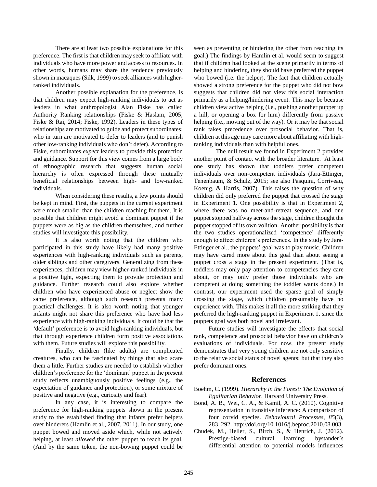There are at least two possible explanations for this preference. The first is that children may seek to affiliate with individuals who have more power and access to resources. In other words, humans may share the tendency previously shown in macaques (Silk, 1999) to seek alliances with higherranked individuals.

Another possible explanation for the preference, is that children may expect high-ranking individuals to act as leaders in what anthropologist Alan Fiske has called Authority Ranking relationships (Fiske & Haslam, 2005; Fiske & Rai, 2014; Fiske, 1992). Leaders in these types of relationships are motivated to guide and protect subordinates; who in turn are motivated to defer to leaders (and to punish other low-ranking individuals who don't defer). According to Fiske, subordinates *expect* leaders to provide this protection and guidance. Support for this view comes from a large body of ethnographic research that suggests human social hierarchy is often expressed through these mutually beneficial relationships between high- and low-ranked individuals.

When considering these results, a few points should be kept in mind. First, the puppets in the current experiment were much smaller than the children reaching for them. It is possible that children might avoid a dominant puppet if the puppets were as big as the children themselves, and further studies will investigate this possibility.

It is also worth noting that the children who participated in this study have likely had many positive experiences with high-ranking individuals such as parents, older siblings and other caregivers. Generalizing from these experiences, children may view higher-ranked individuals in a positive light, expecting them to provide protection and guidance. Further research could also explore whether children who have experienced abuse or neglect show the same preference, although such research presents many practical challenges. It is also worth noting that younger infants might not share this preference who have had less experience with high-ranking individuals. It could be that the 'default' preference is to avoid high-ranking individuals, but that through experience children form positive associations with them. Future studies will explore this possibility.

Finally, children (like adults) are complicated creatures, who can be fascinated by things that also scare them a little. Further studies are needed to establish whether children's preference for the 'dominant' puppet in the present study reflects unambiguously positive feelings (e.g., the expectation of guidance and protection), or some mixture of positive and negative (e.g., curiosity and fear).

In any case, it is interesting to compare the preference for high-ranking puppets shown in the present study to the established finding that infants prefer helpers over hinderers (Hamlin et al., 2007, 2011). In our study, one puppet bowed and moved aside which, while not actively helping, at least *allowed* the other puppet to reach its goal. (And by the same token, the non-bowing puppet could be

seen as preventing or hindering the other from reaching its goal.) The findings by Hamlin et al. would seem to suggest that if children had looked at the scene primarily in terms of helping and hindering, they should have preferred the puppet who bowed (i.e. the helper). The fact that children actually showed a strong preference for the puppet who did not bow suggests that children did not view this social interaction primarily as a helping/hindering event. This may be because children view active helping (i.e., pushing another puppet up a hill, or opening a box for him) differently from passive helping (i.e., moving out of the way). Or it may be that social rank takes precedence over prosocial behavior. That is, children at this age may care more about affiliating with highranking individuals than with helpful ones.

The null result we found in Experiment 2 provides another point of contact with the broader literature. At least one study has shown that toddlers prefer competent individuals over non-competent individuals (Jara-Ettinger, Tenenbaum, & Schulz, 2015; see also Pasquini, Corriveau, Koenig, & Harris, 2007). This raises the question of why children did only preferred the puppet that crossed the stage in Experiment 1. One possibility is that in Experiment 2, where there was no meet-and-retreat sequence, and one puppet stopped halfway across the stage, children thought the puppet stopped of its own volition. Another possibility is that the two studies operationalized 'competence' differently enough to affect children's preferences. In the study by Jara-Ettinger et al., the puppets' goal was to play music. Children may have cared more about this goal than about seeing a puppet cross a stage in the present experiment. (That is, toddlers may only pay attention to competencies they care about, or may only prefer those individuals who are competent at doing something the toddler wants done.) In contrast, our experiment used the sparse goal of simply crossing the stage, which children presumably have no experience with. This makes it all the more striking that they preferred the high-ranking puppet in Experiment 1, since the puppets goal was both novel and irrelevant.

Future studies will investigate the effects that social rank, competence and prosocial behavior have on children's evaluations of individuals. For now, the present study demonstrates that very young children are not only sensitive to the relative social status of novel agents; but that they also prefer dominant ones.

#### **References**

- Boehm, C. (1999). *Hierarchy in the Forest: The Evolution of Egalitarian Behavior*. Harvard University Press.
- Bond, A. B., Wei, C. A., & Kamil, A. C. (2010). Cognitive representation in transitive inference: A comparison of four corvid species. *Behavioural Processes*, *85*(3), 283–292. http://doi.org/10.1016/j.beproc.2010.08.003
- Chudek, M., Heller, S., Birch, S., & Henrich, J. (2012). Prestige-biased cultural learning: bystander's differential attention to potential models influences